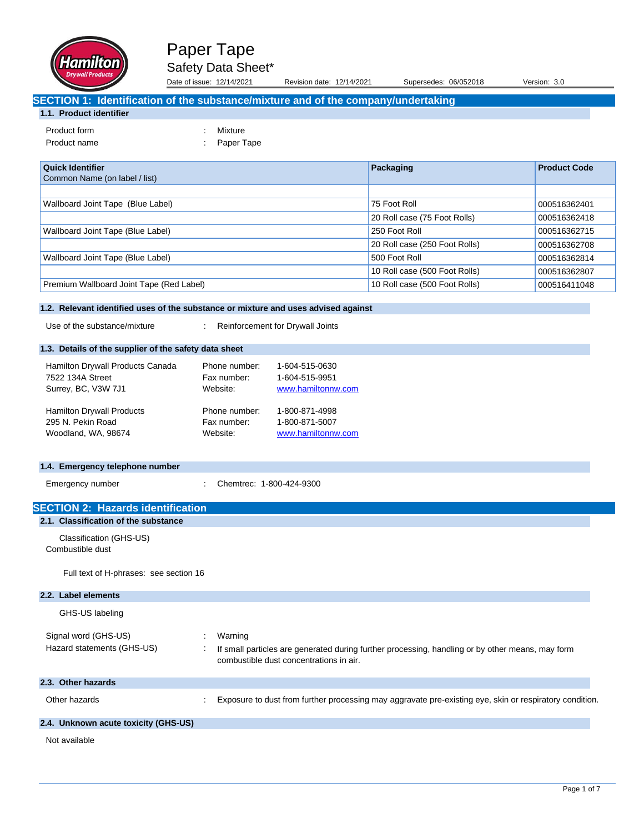

Date of issue: 12/14/2021 Revision date: 12/14/2021 Supersedes: 06/052018 Version: 3.0

# **SECTION 1: Identification of the substance/mixture and of the company/undertaking**

## **1.1. Product identifier**

| Product form           |
|------------------------|
| د مدت به عداد باب ده ۲ |

: Mixture Product name  $\qquad \qquad : \qquad$  Paper Tape

| <b>Quick Identifier</b><br>Common Name (on label / list) | Packaging                     | <b>Product Code</b> |
|----------------------------------------------------------|-------------------------------|---------------------|
|                                                          |                               |                     |
| Wallboard Joint Tape (Blue Label)                        | 75 Foot Roll                  | 000516362401        |
|                                                          | 20 Roll case (75 Foot Rolls)  | 000516362418        |
| Wallboard Joint Tape (Blue Label)                        | 250 Foot Roll                 | 000516362715        |
|                                                          | 20 Roll case (250 Foot Rolls) | 000516362708        |
| Wallboard Joint Tape (Blue Label)                        | 500 Foot Roll                 | 000516362814        |
|                                                          | 10 Roll case (500 Foot Rolls) | 000516362807        |
| Premium Wallboard Joint Tape (Red Label)                 | 10 Roll case (500 Foot Rolls) | 000516411048        |

### **1.2. Relevant identified uses of the substance or mixture and uses advised against**

Use of the substance/mixture : Reinforcement for Drywall Joints

### **1.3. Details of the supplier of the safety data sheet**

| Hamilton Drywall Products Canada | Phone number: | 1-604-515-0630     |
|----------------------------------|---------------|--------------------|
| 7522 134A Street                 | Fax number:   | 1-604-515-9951     |
| Surrey, BC, V3W 7J1              | Website:      | www.hamiltonnw.com |
| <b>Hamilton Drywall Products</b> | Phone number: | 1-800-871-4998     |
| 295 N. Pekin Road                | Fax number:   | 1-800-871-5007     |
| Woodland, WA, 98674              | Website:      | www.hamiltonnw.com |

#### **1.4. Emergency telephone number**

| Emergency number |  |
|------------------|--|
|------------------|--|

rgency number : Chemtrec: 1-800-424-9300

| <b>SECTION 2: Hazards identification</b>    |                                                                                                                                             |
|---------------------------------------------|---------------------------------------------------------------------------------------------------------------------------------------------|
| 2.1. Classification of the substance        |                                                                                                                                             |
| Classification (GHS-US)<br>Combustible dust |                                                                                                                                             |
| Full text of H-phrases: see section 16      |                                                                                                                                             |
| 2.2. Label elements                         |                                                                                                                                             |
| GHS-US labeling                             |                                                                                                                                             |
| Signal word (GHS-US)                        | Warning                                                                                                                                     |
| Hazard statements (GHS-US)                  | If small particles are generated during further processing, handling or by other means, may form<br>combustible dust concentrations in air. |
| 2.3. Other hazards                          |                                                                                                                                             |
| Other hazards                               | Exposure to dust from further processing may aggravate pre-existing eye, skin or respiratory condition.                                     |
| 2.4. Unknown acute toxicity (GHS-US)        |                                                                                                                                             |
| Not available                               |                                                                                                                                             |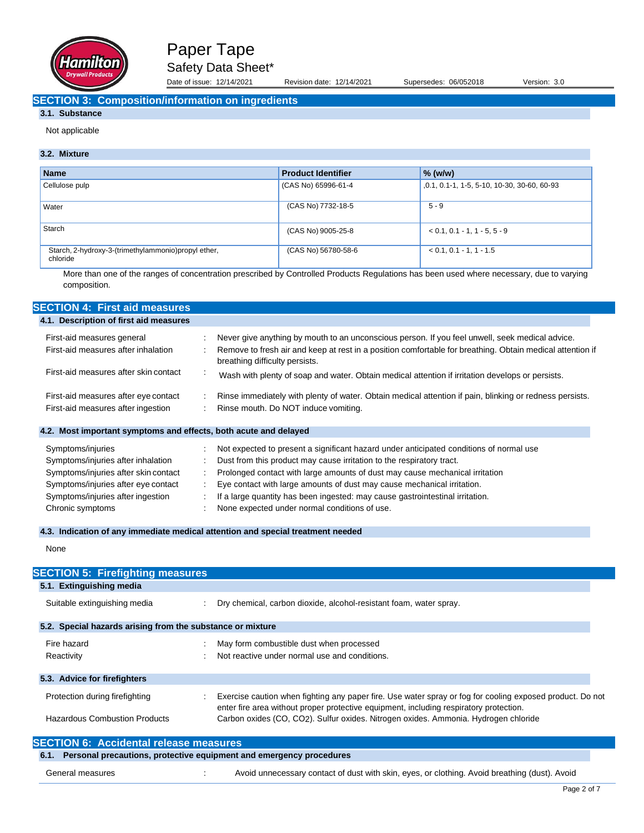

Date of issue: 12/14/2021 Revision date: 12/14/2021 Supersedes: 06/052018 Version: 3.0

## **SECTION 3: Composition/information on ingredients**

## **3.1. Substance**

Not applicable

### **3.2. Mixture**

| <b>Name</b>                                                     | <b>Product Identifier</b> | $%$ (w/w)                                   |
|-----------------------------------------------------------------|---------------------------|---------------------------------------------|
| Cellulose pulp                                                  | (CAS No) 65996-61-4       | ,0.1, 0.1-1, 1-5, 5-10, 10-30, 30-60, 60-93 |
| Water                                                           | (CAS No) 7732-18-5        | $5 - 9$                                     |
| Starch                                                          | (CAS No) 9005-25-8        | $< 0.1, 0.1 - 1, 1 - 5, 5 - 9$              |
| Starch, 2-hydroxy-3-(trimethylammonio)propyl ether,<br>chloride | (CAS No) 56780-58-6       | $< 0.1, 0.1 - 1, 1 - 1.5$                   |

More than one of the ranges of concentration prescribed by Controlled Products Regulations has been used where necessary, due to varying composition.

| <b>SECTION 4: First aid measures</b>                             |        |                                                                                                                                             |
|------------------------------------------------------------------|--------|---------------------------------------------------------------------------------------------------------------------------------------------|
| 4.1. Description of first aid measures                           |        |                                                                                                                                             |
| First-aid measures general                                       |        | Never give anything by mouth to an unconscious person. If you feel unwell, seek medical advice.                                             |
| First-aid measures after inhalation                              |        | Remove to fresh air and keep at rest in a position comfortable for breathing. Obtain medical attention if<br>breathing difficulty persists. |
| First-aid measures after skin contact                            | $\sim$ | Wash with plenty of soap and water. Obtain medical attention if irritation develops or persists.                                            |
| First-aid measures after eye contact                             |        | Rinse immediately with plenty of water. Obtain medical attention if pain, blinking or redness persists.                                     |
| First-aid measures after ingestion                               |        | Rinse mouth. Do NOT induce vomiting.                                                                                                        |
| 4.2. Most important symptoms and effects, both acute and delayed |        |                                                                                                                                             |
| Symptoms/injuries                                                |        | Not expected to present a significant hazard under anticipated conditions of normal use                                                     |
| Symptoms/injuries after inhalation                               |        | Dust from this product may cause irritation to the respiratory tract.                                                                       |
| Symptoms/injuries after skin contact                             |        | Prolonged contact with large amounts of dust may cause mechanical irritation                                                                |
| Symptoms/injuries after eye contact                              | ÷      | Eye contact with large amounts of dust may cause mechanical irritation.                                                                     |
| Symptoms/injuries after ingestion                                |        | If a large quantity has been ingested: may cause gastrointestinal irritation.                                                               |
| Chronic symptoms                                                 |        | None expected under normal conditions of use.                                                                                               |

### **4.3. Indication of any immediate medical attention and special treatment needed**

None

| <b>SECTION 5: Firefighting measures</b>                    |                                                                                                                                                                                                     |
|------------------------------------------------------------|-----------------------------------------------------------------------------------------------------------------------------------------------------------------------------------------------------|
| 5.1. Extinguishing media                                   |                                                                                                                                                                                                     |
| Suitable extinguishing media                               | Dry chemical, carbon dioxide, alcohol-resistant foam, water spray.                                                                                                                                  |
| 5.2. Special hazards arising from the substance or mixture |                                                                                                                                                                                                     |
| Fire hazard<br>Reactivity                                  | May form combustible dust when processed<br>Not reactive under normal use and conditions.                                                                                                           |
| 5.3. Advice for firefighters                               |                                                                                                                                                                                                     |
| Protection during firefighting                             | Exercise caution when fighting any paper fire. Use water spray or fog for cooling exposed product. Do not<br>enter fire area without proper protective equipment, including respiratory protection. |
| <b>Hazardous Combustion Products</b>                       | Carbon oxides (CO, CO <sub>2</sub> ). Sulfur oxides. Nitrogen oxides. Ammonia. Hydrogen chloride                                                                                                    |
| <b>SECTION 6: Accidental release measures</b>              |                                                                                                                                                                                                     |

| 6.1. Personal precautions, protective equipment and emergency procedures |  |                                                                                               |  |
|--------------------------------------------------------------------------|--|-----------------------------------------------------------------------------------------------|--|
| General measures                                                         |  | Avoid unnecessary contact of dust with skin, eyes, or clothing. Avoid breathing (dust). Avoid |  |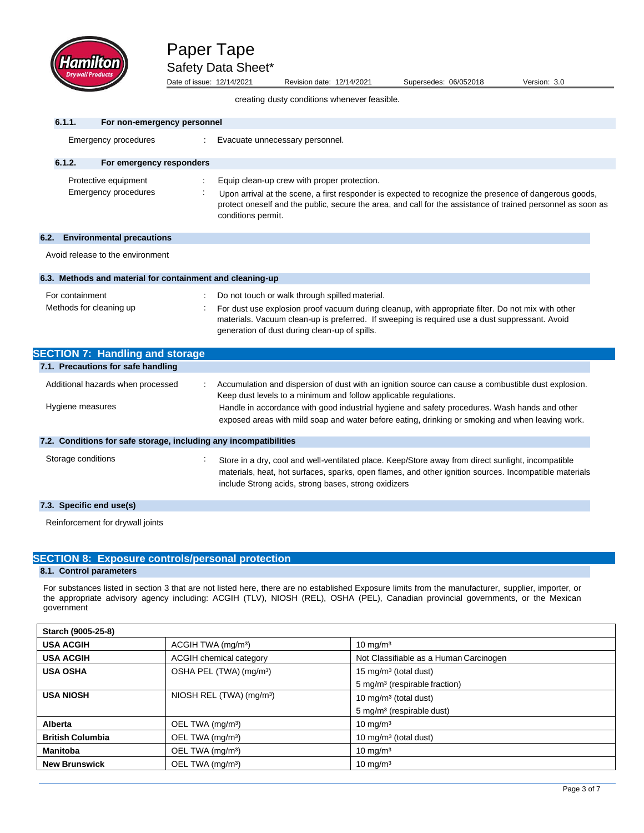

Date of issue: 12/14/2021 Revision date: 12/14/2021 Supersedes: 06/052018 Version: 3.0

creating dusty conditions whenever feasible.

| 6.1.1.                                     | For non-emergency personnel                                       |                                                                                                                                                                                                                                                                                                                                                                              |
|--------------------------------------------|-------------------------------------------------------------------|------------------------------------------------------------------------------------------------------------------------------------------------------------------------------------------------------------------------------------------------------------------------------------------------------------------------------------------------------------------------------|
|                                            | Emergency procedures                                              | Evacuate unnecessary personnel.                                                                                                                                                                                                                                                                                                                                              |
| 6.1.2.                                     | For emergency responders                                          |                                                                                                                                                                                                                                                                                                                                                                              |
|                                            | Protective equipment<br>Emergency procedures                      | Equip clean-up crew with proper protection.<br>Upon arrival at the scene, a first responder is expected to recognize the presence of dangerous goods,<br>protect oneself and the public, secure the area, and call for the assistance of trained personnel as soon as<br>conditions permit.                                                                                  |
| 6.2.                                       | <b>Environmental precautions</b>                                  |                                                                                                                                                                                                                                                                                                                                                                              |
|                                            | Avoid release to the environment                                  |                                                                                                                                                                                                                                                                                                                                                                              |
|                                            | 6.3. Methods and material for containment and cleaning-up         |                                                                                                                                                                                                                                                                                                                                                                              |
| For containment<br>Methods for cleaning up |                                                                   | Do not touch or walk through spilled material.<br>For dust use explosion proof vacuum during cleanup, with appropriate filter. Do not mix with other<br>materials. Vacuum clean-up is preferred. If sweeping is required use a dust suppressant. Avoid<br>generation of dust during clean-up of spills.                                                                      |
|                                            | <b>SECTION 7: Handling and storage</b>                            |                                                                                                                                                                                                                                                                                                                                                                              |
|                                            | 7.1. Precautions for safe handling                                |                                                                                                                                                                                                                                                                                                                                                                              |
| Hygiene measures                           | Additional hazards when processed                                 | Accumulation and dispersion of dust with an ignition source can cause a combustible dust explosion.<br>Keep dust levels to a minimum and follow applicable regulations.<br>Handle in accordance with good industrial hygiene and safety procedures. Wash hands and other<br>exposed areas with mild soap and water before eating, drinking or smoking and when leaving work. |
|                                            | 7.2. Conditions for safe storage, including any incompatibilities |                                                                                                                                                                                                                                                                                                                                                                              |
| Storage conditions                         |                                                                   | Store in a dry, cool and well-ventilated place. Keep/Store away from direct sunlight, incompatible<br>materials, heat, hot surfaces, sparks, open flames, and other ignition sources. Incompatible materials<br>include Strong acids, strong bases, strong oxidizers                                                                                                         |
| 7.3. Specific end use(s)                   |                                                                   |                                                                                                                                                                                                                                                                                                                                                                              |
|                                            | Reinforcement for drywall joints                                  |                                                                                                                                                                                                                                                                                                                                                                              |

## **SECTION 8: Exposure controls/personal protection**

## **8.1. Control parameters**

For substances listed in section 3 that are not listed here, there are no established Exposure limits from the manufacturer, supplier, importer, or the appropriate advisory agency including: ACGIH (TLV), NIOSH (REL), OSHA (PEL), Canadian provincial governments, or the Mexican government

| Starch (9005-25-8)      |                                      |                                           |  |  |  |
|-------------------------|--------------------------------------|-------------------------------------------|--|--|--|
| <b>USA ACGIH</b>        | ACGIH TWA (mg/m <sup>3</sup> )       | 10 mg/m <sup>3</sup>                      |  |  |  |
| <b>USA ACGIH</b>        | ACGIH chemical category              | Not Classifiable as a Human Carcinogen    |  |  |  |
| <b>USA OSHA</b>         | OSHA PEL (TWA) (mg/m <sup>3</sup> )  | 15 mg/m <sup>3</sup> (total dust)         |  |  |  |
|                         |                                      | 5 mg/m <sup>3</sup> (respirable fraction) |  |  |  |
| <b>USA NIOSH</b>        | NIOSH REL (TWA) (mg/m <sup>3</sup> ) | 10 mg/m <sup>3</sup> (total dust)         |  |  |  |
|                         |                                      | 5 mg/m <sup>3</sup> (respirable dust)     |  |  |  |
| Alberta                 | OEL TWA (mg/m <sup>3</sup> )         | $10 \text{ mg/m}^3$                       |  |  |  |
| <b>British Columbia</b> | OEL TWA (mg/m <sup>3</sup> )         | 10 mg/m <sup>3</sup> (total dust)         |  |  |  |
| <b>Manitoba</b>         | OEL TWA (mg/m <sup>3</sup> )         | $10 \text{ mg/m}^3$                       |  |  |  |
| <b>New Brunswick</b>    | OEL TWA (mg/m <sup>3</sup> )         | $10 \text{ mg/m}^3$                       |  |  |  |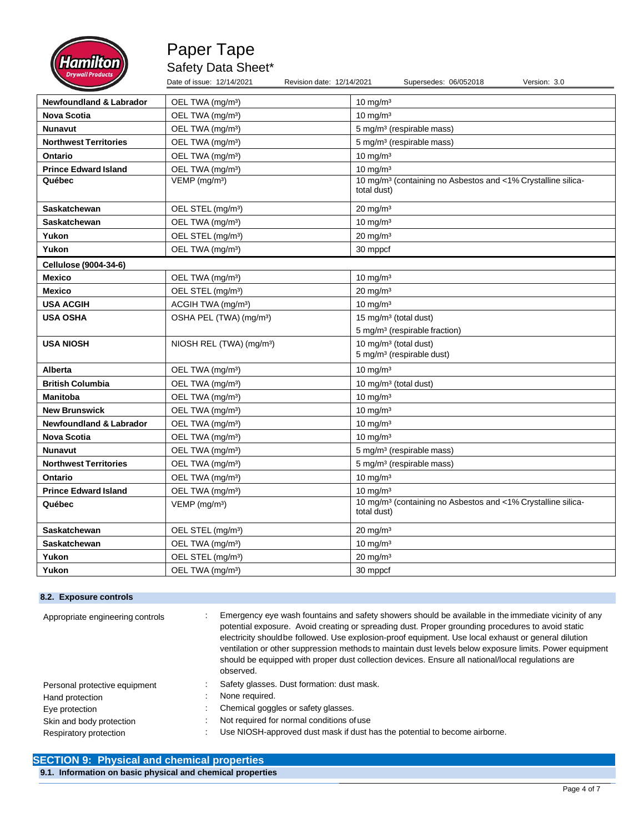

Date of issue: 12/14/2021 Revision date: 12/14/2021 Supersedes: 06/052018 Version: 3.0

| <b>Newfoundland &amp; Labrador</b> | OEL TWA (mg/m <sup>3</sup> )         | $10$ mg/m <sup>3</sup>                                                                  |
|------------------------------------|--------------------------------------|-----------------------------------------------------------------------------------------|
| <b>Nova Scotia</b>                 | OEL TWA (mg/m <sup>3</sup> )         | $10$ mg/m <sup>3</sup>                                                                  |
| <b>Nunavut</b>                     | OEL TWA (mg/m <sup>3</sup> )         | 5 mg/m <sup>3</sup> (respirable mass)                                                   |
| <b>Northwest Territories</b>       | OEL TWA (mg/m <sup>3</sup> )         | 5 mg/m <sup>3</sup> (respirable mass)                                                   |
| Ontario                            | OEL TWA (mg/m <sup>3</sup> )         | $10 \text{ mg/m}^3$                                                                     |
| <b>Prince Edward Island</b>        | OEL TWA (mg/m <sup>3</sup> )         | $10 \text{ mg/m}^3$                                                                     |
| Québec                             | VEMP (mg/m <sup>3</sup> )            | 10 mg/m <sup>3</sup> (containing no Asbestos and <1% Crystalline silica-<br>total dust) |
|                                    |                                      |                                                                                         |
| Saskatchewan                       | OEL STEL (mg/m <sup>3</sup> )        | $20 \text{ mg/m}^3$                                                                     |
| Saskatchewan                       | OEL TWA (mg/m <sup>3</sup> )         | $10 \text{ mg/m}^3$                                                                     |
| Yukon                              | OEL STEL (mg/m <sup>3</sup> )        | $20 \text{ mg/m}^3$                                                                     |
| Yukon                              | OEL TWA (mg/m <sup>3</sup> )         | 30 mppcf                                                                                |
| Cellulose (9004-34-6)              |                                      |                                                                                         |
| <b>Mexico</b>                      | OEL TWA (mg/m <sup>3</sup> )         | $10$ mg/m <sup>3</sup>                                                                  |
| <b>Mexico</b>                      | OEL STEL (mg/m <sup>3</sup> )        | $20$ mg/m <sup>3</sup>                                                                  |
| <b>USA ACGIH</b>                   | ACGIH TWA (mg/m <sup>3</sup> )       | $10$ mg/m <sup>3</sup>                                                                  |
| <b>USA OSHA</b>                    | OSHA PEL (TWA) (mg/m <sup>3</sup> )  | 15 mg/m <sup>3</sup> (total dust)                                                       |
|                                    |                                      | 5 mg/m <sup>3</sup> (respirable fraction)                                               |
| <b>USA NIOSH</b>                   | NIOSH REL (TWA) (mg/m <sup>3</sup> ) | 10 mg/m <sup>3</sup> (total dust)                                                       |
|                                    |                                      | 5 mg/m <sup>3</sup> (respirable dust)                                                   |
| <b>Alberta</b>                     | OEL TWA (mg/m <sup>3</sup> )         | $10 \text{ mg/m}^3$                                                                     |
| <b>British Columbia</b>            | OEL TWA (mg/m <sup>3</sup> )         | 10 mg/m <sup>3</sup> (total dust)                                                       |
| <b>Manitoba</b>                    | OEL TWA (mg/m <sup>3</sup> )         | $10$ mg/m <sup>3</sup>                                                                  |
| <b>New Brunswick</b>               | OEL TWA (mg/m <sup>3</sup> )         | $10$ mg/m <sup>3</sup>                                                                  |
| <b>Newfoundland &amp; Labrador</b> | OEL TWA (mg/m <sup>3</sup> )         | $10$ mg/m <sup>3</sup>                                                                  |
| Nova Scotia                        | OEL TWA (mg/m <sup>3</sup> )         | $10$ mg/m <sup>3</sup>                                                                  |
| <b>Nunavut</b>                     | OEL TWA (mg/m <sup>3</sup> )         | 5 mg/m <sup>3</sup> (respirable mass)                                                   |
| <b>Northwest Territories</b>       | OEL TWA (mg/m <sup>3</sup> )         | 5 mg/m <sup>3</sup> (respirable mass)                                                   |
| Ontario                            | OEL TWA (mg/m <sup>3</sup> )         | $10$ mg/m <sup>3</sup>                                                                  |
| <b>Prince Edward Island</b>        | OEL TWA (mg/m <sup>3</sup> )         | $10 \text{ mg/m}^3$                                                                     |
| Québec                             | VEMP (mg/m <sup>3</sup> )            | 10 mg/m <sup>3</sup> (containing no Asbestos and <1% Crystalline silica-<br>total dust) |
| <b>Saskatchewan</b>                | OEL STEL (mg/m <sup>3</sup> )        | $20$ mg/m <sup>3</sup>                                                                  |
| Saskatchewan                       | OEL TWA (mg/m <sup>3</sup> )         | $10 \text{ mg/m}^3$                                                                     |
| Yukon                              | OEL STEL (mg/m <sup>3</sup> )        | $20 \text{ mg/m}^3$                                                                     |
| Yukon                              | OEL TWA (mg/m <sup>3</sup> )         | 30 mppcf                                                                                |

# **8.2. Exposure controls**

| Appropriate engineering controls | Emergency eye wash fountains and safety showers should be available in the immediate vicinity of any<br>potential exposure. Avoid creating or spreading dust. Proper grounding procedures to avoid static<br>electricity should be followed. Use explosion-proof equipment. Use local exhaust or general dilution<br>ventilation or other suppression methods to maintain dust levels below exposure limits. Power equipment<br>should be equipped with proper dust collection devices. Ensure all national/local regulations are<br>observed. |
|----------------------------------|------------------------------------------------------------------------------------------------------------------------------------------------------------------------------------------------------------------------------------------------------------------------------------------------------------------------------------------------------------------------------------------------------------------------------------------------------------------------------------------------------------------------------------------------|
| Personal protective equipment    | Safety glasses. Dust formation: dust mask.                                                                                                                                                                                                                                                                                                                                                                                                                                                                                                     |
| Hand protection                  | None required.                                                                                                                                                                                                                                                                                                                                                                                                                                                                                                                                 |
| Eye protection                   | Chemical goggles or safety glasses.                                                                                                                                                                                                                                                                                                                                                                                                                                                                                                            |
| Skin and body protection         | Not required for normal conditions of use                                                                                                                                                                                                                                                                                                                                                                                                                                                                                                      |
| Respiratory protection           | Use NIOSH-approved dust mask if dust has the potential to become airborne.                                                                                                                                                                                                                                                                                                                                                                                                                                                                     |

# **SECTION 9: Physical and chemical properties 9.1. Information on basic physical and chemical properties**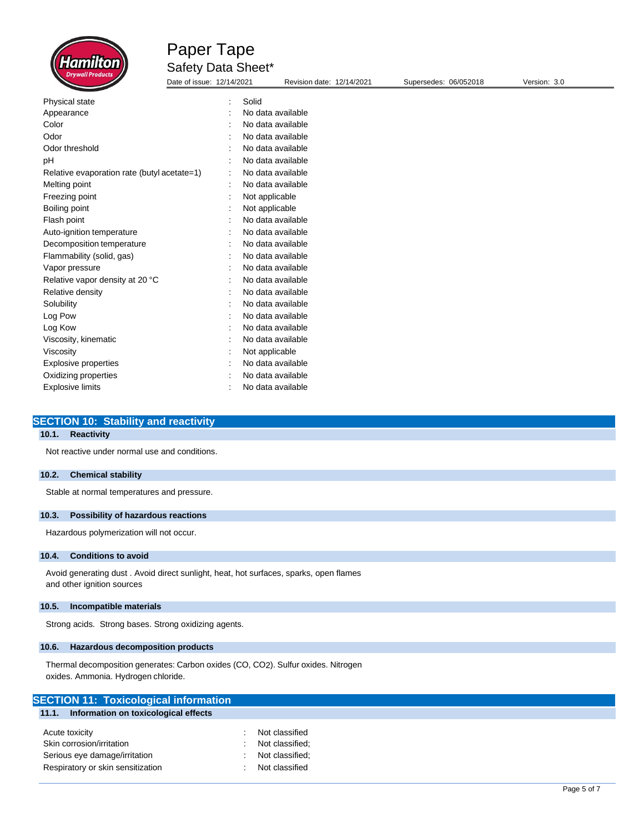

Date of issue: 12/14/2021 Revision date: 12/14/2021 Supersedes: 06/052018 Version: 3.0

| Physical state                              | $\ddot{\phantom{a}}$ | Solid             |
|---------------------------------------------|----------------------|-------------------|
| Appearance                                  |                      | No data available |
| Color                                       |                      | No data available |
| Odor                                        |                      | No data available |
| Odor threshold                              |                      | No data available |
| рH                                          |                      | No data available |
| Relative evaporation rate (butyl acetate=1) | $\ddot{\phantom{a}}$ | No data available |
| Melting point                               |                      | No data available |
| Freezing point                              |                      | Not applicable    |
| Boiling point                               |                      | Not applicable    |
| Flash point                                 |                      | No data available |
| Auto-ignition temperature                   |                      | No data available |
| Decomposition temperature                   |                      | No data available |
| Flammability (solid, gas)                   |                      | No data available |
| Vapor pressure                              |                      | No data available |
| Relative vapor density at 20 °C             |                      | No data available |
| Relative density                            |                      | No data available |
| Solubility                                  |                      | No data available |
| Log Pow                                     |                      | No data available |
| Log Kow                                     |                      | No data available |
| Viscosity, kinematic                        |                      | No data available |
| Viscosity                                   |                      | Not applicable    |
| Explosive properties                        |                      | No data available |
| Oxidizing properties                        |                      | No data available |
| <b>Explosive limits</b>                     |                      | No data available |

#### **SECTION 10: Stability and reactivity**

## **10.1. Reactivity**

Not reactive under normal use and conditions.

#### **10.2. Chemical stability**

Stable at normal temperatures and pressure.

### **10.3. Possibility of hazardous reactions**

Hazardous polymerization will not occur.

#### **10.4. Conditions to avoid**

Avoid generating dust . Avoid direct sunlight, heat, hot surfaces, sparks, open flames and other ignition sources

### **10.5. Incompatible materials**

Strong acids. Strong bases. Strong oxidizing agents.

#### **10.6. Hazardous decomposition products**

Thermal decomposition generates: Carbon oxides (CO, CO2). Sulfur oxides. Nitrogen oxides. Ammonia. Hydrogen chloride.

Respiratory or skin sensitization **in the sensitial sensitive contains a set of classified**  $\cdot$  Not classified

| <b>SECTION 11: Toxicological information</b>  |                 |  |  |
|-----------------------------------------------|-----------------|--|--|
| Information on toxicological effects<br>11.1. |                 |  |  |
|                                               |                 |  |  |
| Acute toxicity                                | Not classified  |  |  |
| Skin corrosion/irritation                     | Not classified; |  |  |
| Serious eye damage/irritation                 | Not classified: |  |  |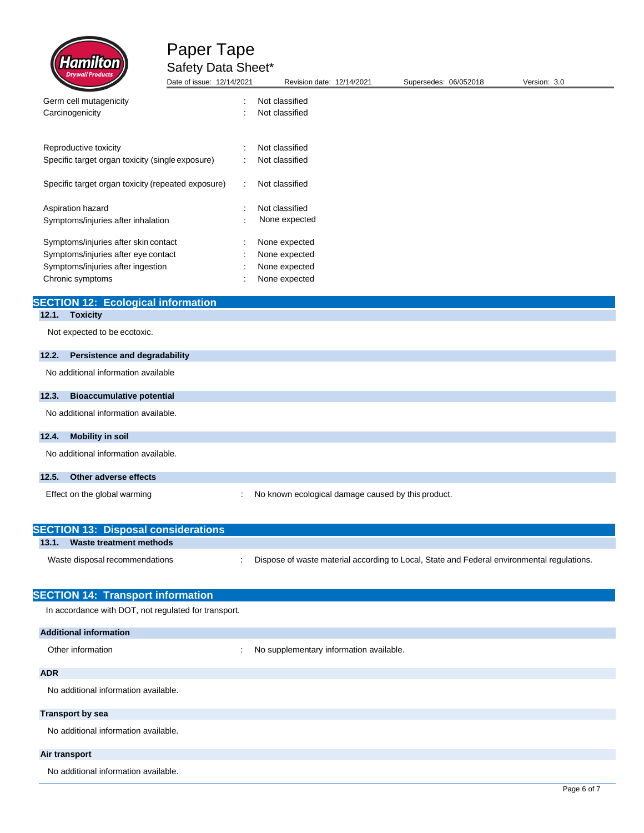

| <b>Difficultivation</b>                            | Date of issue: 12/14/2021 | Revision date: 12/14/2021 | Supersedes: 06/052018 | Version: 3.0 |
|----------------------------------------------------|---------------------------|---------------------------|-----------------------|--------------|
| Germ cell mutagenicity                             | $\bullet$                 | Not classified            |                       |              |
| Carcinogenicity                                    |                           | Not classified            |                       |              |
| Reproductive toxicity                              |                           | Not classified            |                       |              |
| Specific target organ toxicity (single exposure)   | ٠                         | Not classified            |                       |              |
| Specific target organ toxicity (repeated exposure) | ÷                         | Not classified            |                       |              |
| Aspiration hazard                                  | ÷                         | Not classified            |                       |              |
| Symptoms/injuries after inhalation                 | ٠                         | None expected             |                       |              |
| Symptoms/injuries after skin contact               | ٠                         | None expected             |                       |              |
| Symptoms/injuries after eye contact                |                           | None expected             |                       |              |
| Symptoms/injuries after ingestion                  |                           | None expected             |                       |              |
| Chronic symptoms                                   |                           | None expected             |                       |              |

# **SECTION 12: Ecological information**

## **12.1. Toxicity**

Not expected to be ecotoxic.

# **12.2. Persistence and degradability** No additional information available **12.3. Bioaccumulative potential** No additional information available. **12.4. Mobility in soil** No additional information available. **12.5. Other adverse effects**

Effect on the global warming  $\qquad \qquad \qquad$ : No known ecological damage caused by this product.

| <b>SECTION 13: Disposal considerations</b> |                                                                                            |
|--------------------------------------------|--------------------------------------------------------------------------------------------|
| Waste treatment methods<br>13.1.           |                                                                                            |
| Waste disposal recommendations             | Dispose of waste material according to Local, State and Federal environmental regulations. |

| <b>SECTION 14: Transport information</b>             |                                         |
|------------------------------------------------------|-----------------------------------------|
| In accordance with DOT, not regulated for transport. |                                         |
| <b>Additional information</b>                        |                                         |
| Other information<br>÷                               | No supplementary information available. |
| <b>ADR</b>                                           |                                         |
| No additional information available.                 |                                         |
| <b>Transport by sea</b>                              |                                         |
| No additional information available.                 |                                         |
| Air transport                                        |                                         |
| No additional information available.                 |                                         |